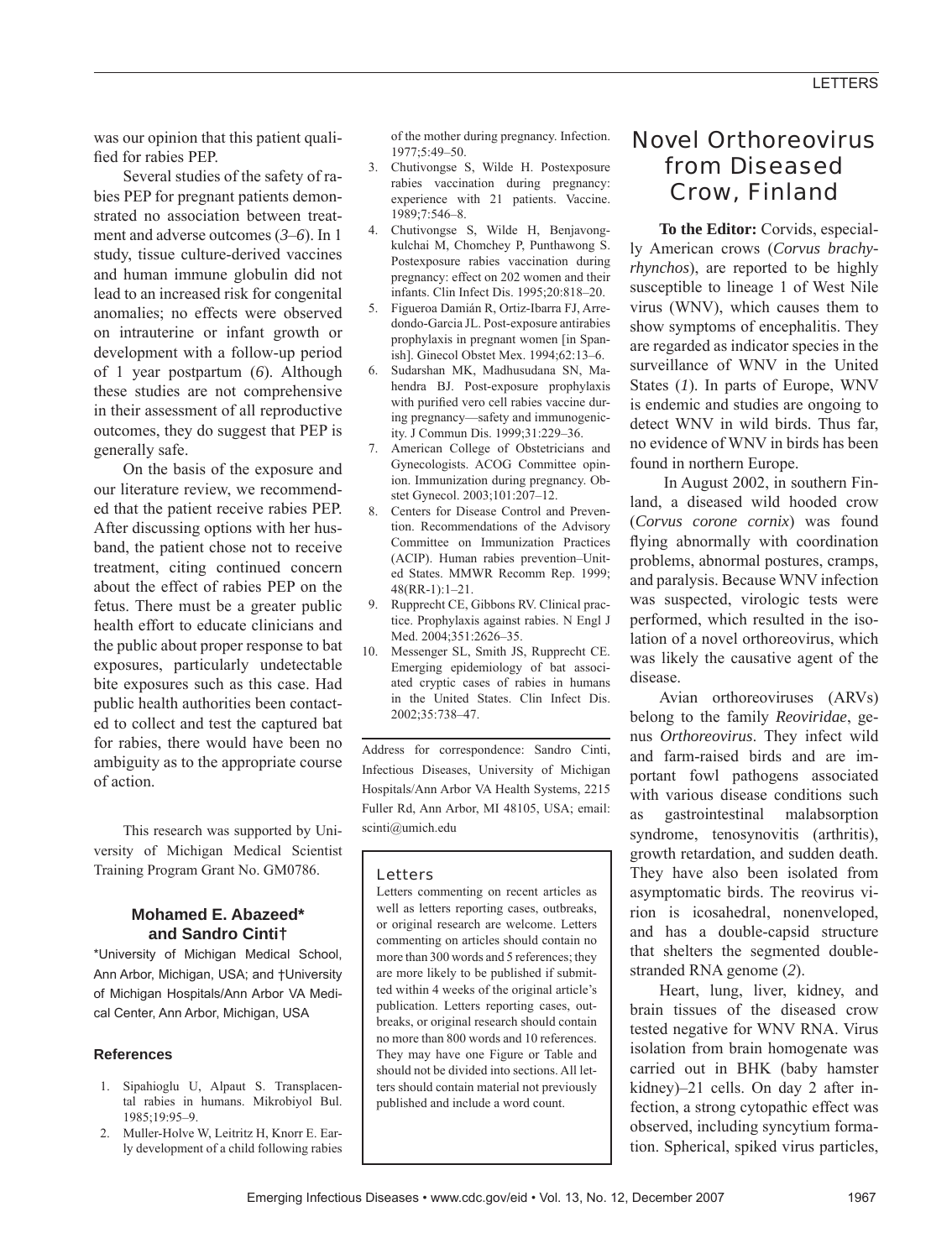was our opinion that this patient qualified for rabies PEP.

Several studies of the safety of rabies PEP for pregnant patients demonstrated no association between treatment and adverse outcomes (*3*–*6*). In 1 study, tissue culture-derived vaccines and human immune globulin did not lead to an increased risk for congenital anomalies; no effects were observed on intrauterine or infant growth or development with a follow-up period of 1 year postpartum (*6*). Although these studies are not comprehensive in their assessment of all reproductive outcomes, they do suggest that PEP is generally safe.

On the basis of the exposure and our literature review, we recommended that the patient receive rabies PEP. After discussing options with her husband, the patient chose not to receive treatment, citing continued concern about the effect of rabies PEP on the fetus. There must be a greater public health effort to educate clinicians and the public about proper response to bat exposures, particularly undetectable bite exposures such as this case. Had public health authorities been contacted to collect and test the captured bat for rabies, there would have been no ambiguity as to the appropriate course of action.

This research was supported by University of Michigan Medical Scientist Training Program Grant No. GM0786.

## **Mohamed E. Abazeed\* and Sandro Cinti†**

\*University of Michigan Medical School, Ann Arbor, Michigan, USA; and †University of Michigan Hospitals/Ann Arbor VA Medical Center, Ann Arbor, Michigan, USA

## **References**

- 1. Sipahioglu U, Alpaut S. Transplacental rabies in humans. Mikrobiyol Bul. 1985;19:95–9.
- 2. Muller-Holve W, Leitritz H, Knorr E. Early development of a child following rabies

of the mother during pregnancy. Infection. 1977;5:49–50.

- 3. Chutivongse S, Wilde H. Postexposure rabies vaccination during pregnancy: experience with 21 patients. Vaccine. 1989;7:546–8.
- 4. Chutivongse S, Wilde H, Benjavongkulchai M, Chomchey P, Punthawong S. Postexposure rabies vaccination during pregnancy: effect on 202 women and their infants. Clin Infect Dis. 1995;20:818–20.
- 5. Figueroa Damián R, Ortiz-Ibarra FJ, Arredondo-Garcia JL. Post-exposure antirabies prophylaxis in pregnant women [in Spanish]. Ginecol Obstet Mex. 1994;62:13–6.
- 6. Sudarshan MK, Madhusudana SN, Mahendra BJ. Post-exposure prophylaxis with purified vero cell rabies vaccine during pregnancy—safety and immunogenicity. J Commun Dis. 1999;31:229–36.
- 7. American College of Obstetricians and Gynecologists. ACOG Committee opinion. Immunization during pregnancy. Obstet Gynecol. 2003;101:207–12.
- Centers for Disease Control and Prevention. Recommendations of the Advisory Committee on Immunization Practices (ACIP). Human rabies prevention–United States. MMWR Recomm Rep. 1999; 48(RR-1):1–21.
- 9. Rupprecht CE, Gibbons RV. Clinical practice. Prophylaxis against rabies. N Engl J Med. 2004;351:2626–35.
- 10. Messenger SL, Smith JS, Rupprecht CE. Emerging epidemiology of bat associated cryptic cases of rabies in humans in the United States. Clin Infect Dis. 2002;35:738–47.

Address for correspondence: Sandro Cinti, Infectious Diseases, University of Michigan Hospitals/Ann Arbor VA Health Systems, 2215 Fuller Rd, Ann Arbor, MI 48105, USA; email: scinti@umich.edu

## Letters

Letters commenting on recent articles as well as letters reporting cases, outbreaks, or original research are welcome. Letters commenting on articles should contain no more than 300 words and 5 references; they are more likely to be published if submitted within 4 weeks of the original article's publication. Letters reporting cases, outbreaks, or original research should contain no more than 800 words and 10 references. They may have one Figure or Table and should not be divided into sections. All letters should contain material not previously published and include a word count.

# Novel Orthoreovirus from Diseased Crow, Finland

**To the Editor:** Corvids, especially American crows (*Corvus brachyrhynchos*), are reported to be highly susceptible to lineage 1 of West Nile virus (WNV), which causes them to show symptoms of encephalitis. They are regarded as indicator species in the surveillance of WNV in the United States (*1*). In parts of Europe, WNV is endemic and studies are ongoing to detect WNV in wild birds. Thus far, no evidence of WNV in birds has been found in northern Europe.

In August 2002, in southern Finland, a diseased wild hooded crow (*Corvus corone cornix*) was found flying abnormally with coordination problems, abnormal postures, cramps, and paralysis. Because WNV infection was suspected, virologic tests were performed, which resulted in the isolation of a novel orthoreovirus, which was likely the causative agent of the disease.

Avian orthoreoviruses (ARVs) belong to the family *Reoviridae*, genus *Orthoreovirus*. They infect wild and farm-raised birds and are important fowl pathogens associated with various disease conditions such as gastrointestinal malabsorption syndrome, tenosynovitis (arthritis), growth retardation, and sudden death. They have also been isolated from asymptomatic birds. The reovirus virion is icosahedral, nonenveloped, and has a double-capsid structure that shelters the segmented doublestranded RNA genome (*2*).

Heart, lung, liver, kidney, and brain tissues of the diseased crow tested negative for WNV RNA. Virus isolation from brain homogenate was carried out in BHK (baby hamster kidney)–21 cells. On day 2 after infection, a strong cytopathic effect was observed, including syncytium formation. Spherical, spiked virus particles,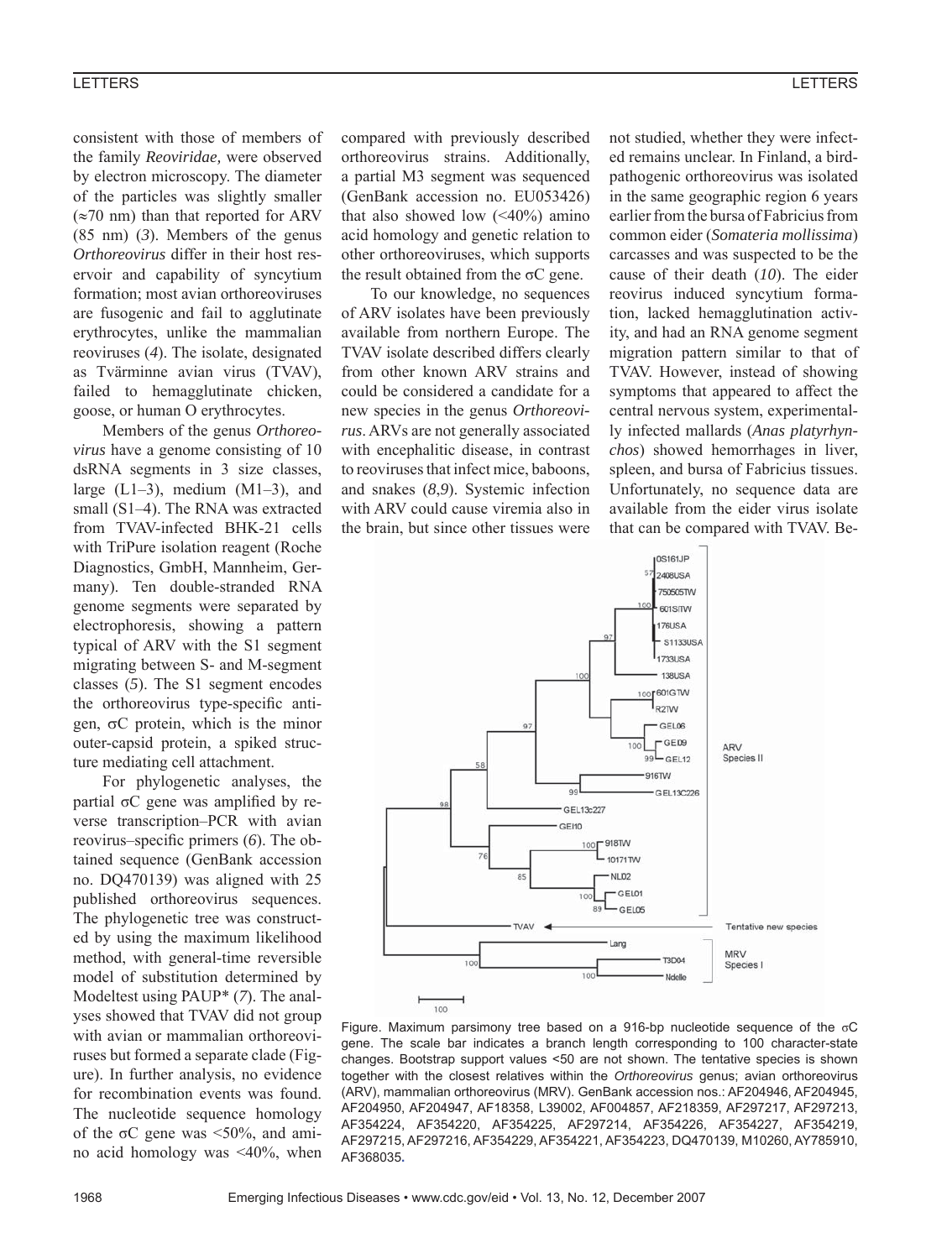#### LETTERS

consistent with those of members of the family *Reoviridae,* were observed by electron microscopy. The diameter of the particles was slightly smaller  $(\approx 70 \text{ nm})$  than that reported for ARV (85 nm) (*3*). Members of the genus *Orthoreovirus* differ in their host reservoir and capability of syncytium formation; most avian orthoreoviruses are fusogenic and fail to agglutinate erythrocytes, unlike the mammalian reoviruses (*4*). The isolate, designated as Tvärminne avian virus (TVAV), failed to hemagglutinate chicken, goose, or human O erythrocytes.

Members of the genus *Orthoreovirus* have a genome consisting of 10 dsRNA segments in 3 size classes, large  $(L1-3)$ , medium  $(M1-3)$ , and small (S1–4). The RNA was extracted from TVAV-infected BHK-21 cells with TriPure isolation reagent (Roche Diagnostics, GmbH, Mannheim, Germany). Ten double-stranded RNA genome segments were separated by electrophoresis, showing a pattern typical of ARV with the S1 segment migrating between S- and M-segment classes (*5*). The S1 segment encodes the orthoreovirus type-specific antigen,  $\sigma$ C protein, which is the minor outer-capsid protein, a spiked structure mediating cell attachment.

For phylogenetic analyses, the partial  $\sigma C$  gene was amplified by reverse transcription–PCR with avian reovirus–specific primers (6). The obtained sequence (GenBank accession no. DQ470139) was aligned with 25 published orthoreovirus sequences. The phylogenetic tree was constructed by using the maximum likelihood method, with general-time reversible model of substitution determined by Modeltest using PAUP\* (*7*). The analyses showed that TVAV did not group with avian or mammalian orthoreoviruses but formed a separate clade (Figure). In further analysis, no evidence for recombination events was found. The nucleotide sequence homology of the  $\sigma$ C gene was <50%, and amino acid homology was <40%, when compared with previously described orthoreovirus strains. Additionally, a partial M3 segment was sequenced (GenBank accession no. EU053426) that also showed low  $( $40\%$ )$  amino acid homology and genetic relation to other orthoreoviruses, which supports the result obtained from the  $\sigma$ C gene.

To our knowledge, no sequences of ARV isolates have been previously available from northern Europe. The TVAV isolate described differs clearly from other known ARV strains and could be considered a candidate for a new species in the genus *Orthoreovirus*. ARVs are not generally associated with encephalitic disease, in contrast to reoviruses that infect mice, baboons, and snakes (*8*,*9*). Systemic infection with ARV could cause viremia also in the brain, but since other tissues were not studied, whether they were infected remains unclear. In Finland, a birdpathogenic orthoreovirus was isolated in the same geographic region 6 years earlier from the bursa of Fabricius from common eider (*Somateria mollissima*) carcasses and was suspected to be the cause of their death (*10*). The eider reovirus induced syncytium formation, lacked hemagglutination activity, and had an RNA genome segment migration pattern similar to that of TVAV. However, instead of showing symptoms that appeared to affect the central nervous system, experimentally infected mallards (*Anas platyrhynchos*) showed hemorrhages in liver, spleen, and bursa of Fabricius tissues. Unfortunately, no sequence data are available from the eider virus isolate that can be compared with TVAV. Be-



Figure. Maximum parsimony tree based on a 916-bp nucleotide sequence of the σC gene. The scale bar indicates a branch length corresponding to 100 character-state changes. Bootstrap support values <50 are not shown. The tentative species is shown together with the closest relatives within the *Orthoreovirus* genus; avian orthoreovirus (ARV), mammalian orthoreovirus (MRV). GenBank accession nos.: AF204946, AF204945, AF204950, AF204947, AF18358, L39002, AF004857, AF218359, AF297217, AF297213, AF354224, AF354220, AF354225, AF297214, AF354226, AF354227, AF354219, AF297215, AF297216, AF354229, AF354221, AF354223, DQ470139, M10260, AY785910, AF368035**.**